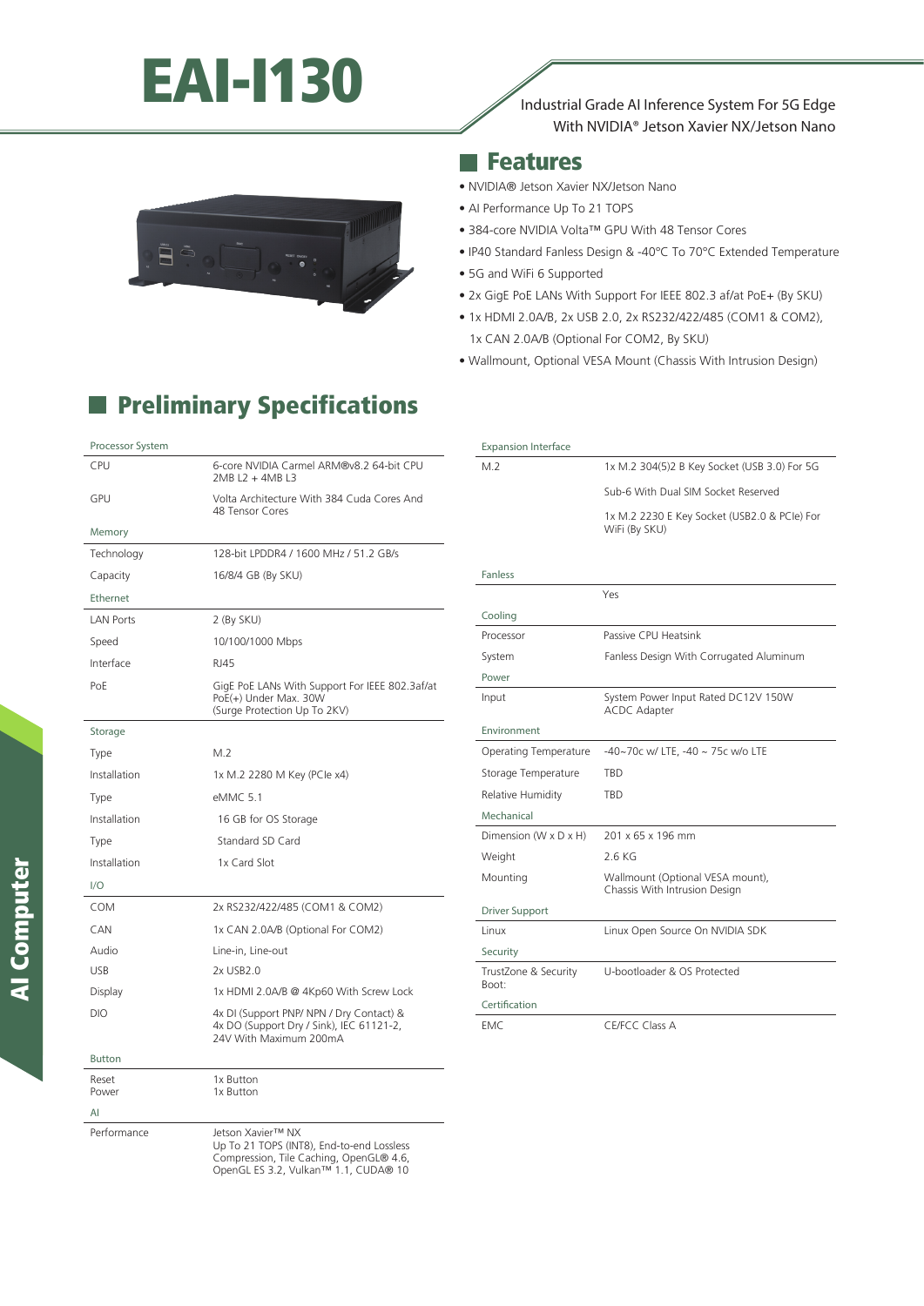# EAI-1130 Industrial Grade Al Inference System For 5G Edge



# With NVIDIA® Jetson Xavier NX/Jetson Nano

#### **Reatures**

- NVIDIA® Jetson Xavier NX/Jetson Nano
- AI Performance Up To 21 TOPS
- 384-core NVIDIA Volta™ GPU With 48 Tensor Cores
- IP40 Standard Fanless Design & -40°C To 70°C Extended Temperature
- 5G and WiFi 6 Supported
- 2x GigE PoE LANs With Support For IEEE 802.3 af/at PoE+ (By SKU)
- 1x HDMI 2.0A/B, 2x USB 2.0, 2x RS232/422/485 (COM1 & COM2), 1x CAN 2.0A/B (Optional For COM2, By SKU)
- Wallmount, Optional VESA Mount (Chassis With Intrusion Design)

| <b>Expansion Interface</b>    |                                                                   |
|-------------------------------|-------------------------------------------------------------------|
| M.2                           | 1x M.2 304(5)2 B Key Socket (USB 3.0) For 5G                      |
|                               | Sub-6 With Dual SIM Socket Reserved                               |
|                               | 1x M.2 2230 E Key Socket (USB2.0 & PCle) For<br>WiFi (By SKU)     |
|                               |                                                                   |
| <b>Fanless</b>                |                                                                   |
|                               | Yes                                                               |
| Cooling                       |                                                                   |
| Processor                     | Passive CPU Heatsink                                              |
| System                        | Fanless Design With Corrugated Aluminum                           |
| Power                         |                                                                   |
| Input                         | System Power Input Rated DC12V 150W<br><b>ACDC</b> Adapter        |
| Environment                   |                                                                   |
| <b>Operating Temperature</b>  | -40~70c w/ LTE, -40 ~ 75c w/o LTE                                 |
| Storage Temperature           | <b>TBD</b>                                                        |
| Relative Humidity             | <b>TBD</b>                                                        |
| Mechanical                    |                                                                   |
| Dimension (W x D x H)         | 201 x 65 x 196 mm                                                 |
| Weight                        | 2.6 KG                                                            |
| Mounting                      | Wallmount (Optional VESA mount),<br>Chassis With Intrusion Design |
| <b>Driver Support</b>         |                                                                   |
| Linux                         | Linux Open Source On NVIDIA SDK                                   |
| Security                      |                                                                   |
| TrustZone & Security<br>Boot: | U-bootloader & OS Protected                                       |
| Certification                 |                                                                   |
| EMC.                          | CE/FCC Class A                                                    |

## **Preliminary Specifications**

| Processor System |                                                                                                                |
|------------------|----------------------------------------------------------------------------------------------------------------|
| <b>CPU</b>       | 6-core NVIDIA Carmel ARM®v8.2 64-bit CPU<br>2MB L2 + 4MB L3                                                    |
| GPU              | Volta Architecture With 384 Cuda Cores And<br>48 Tensor Cores                                                  |
| Memory           |                                                                                                                |
| Technology       | 128-bit LPDDR4 / 1600 MHz / 51.2 GB/s                                                                          |
| Capacity         | 16/8/4 GB (By SKU)                                                                                             |
| Ethernet         |                                                                                                                |
| <b>LAN Ports</b> | 2 (By SKU)                                                                                                     |
| Speed            | 10/100/1000 Mbps                                                                                               |
| Interface        | RJ45                                                                                                           |
| PoE              | GigE PoE LANs With Support For IEEE 802.3af/at<br>PoE(+) Under Max. 30W<br>(Surge Protection Up To 2KV)        |
| Storage          |                                                                                                                |
| Type             | M.2                                                                                                            |
| Installation     | 1x M.2 2280 M Key (PCle x4)                                                                                    |
| Type             | eMMC 5.1                                                                                                       |
| Installation     | 16 GB for OS Storage                                                                                           |
| Type             | Standard SD Card                                                                                               |
| Installation     | 1x Card Slot                                                                                                   |
| 1/O              |                                                                                                                |
| COM              | 2x RS232/422/485 (COM1 & COM2)                                                                                 |
| CAN              | 1x CAN 2.0A/B (Optional For COM2)                                                                              |
| Audio            | Line-in, Line-out                                                                                              |
| <b>USB</b>       | 2x USB2.0                                                                                                      |
| Display          | 1x HDMI 2.0A/B @ 4Kp60 With Screw Lock                                                                         |
| <b>DIO</b>       | 4x DI (Support PNP/ NPN / Dry Contact) &<br>4x DO (Support Dry / Sink), IEC 61121-2,<br>24V With Maximum 200mA |
| <b>Button</b>    |                                                                                                                |
| Reset<br>Power   | 1x Button<br>1x Button                                                                                         |
| Al               |                                                                                                                |

Performance Jetson Xavier™ NX

Up To 21 TOPS (INT8), End-to-end Lossless Compression, Tile Caching, OpenGL® 4.6, OpenGL ES 3.2, Vulkan™ 1.1, CUDA® 10